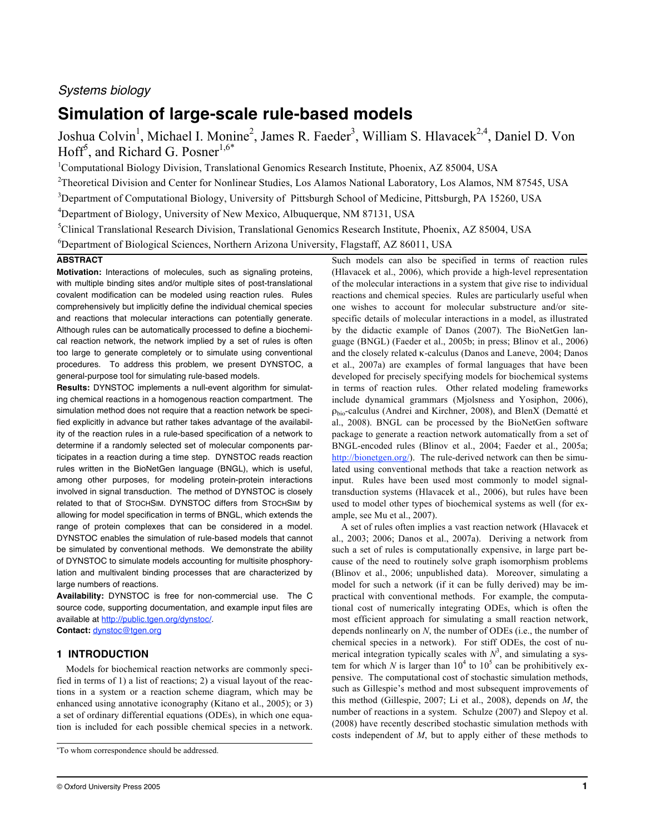# *Systems biology*

# **Simulation of large-scale rule-based models**

Joshua Colvin<sup>1</sup>, Michael I. Monine<sup>2</sup>, James R. Faeder<sup>3</sup>, William S. Hlavacek<sup>2,4</sup>, Daniel D. Von Hoff<sup>5</sup>, and Richard G. Posner<sup>1,6\*</sup>

<sup>1</sup>Computational Biology Division, Translational Genomics Research Institute, Phoenix, AZ 85004, USA

<sup>2</sup>Theoretical Division and Center for Nonlinear Studies, Los Alamos National Laboratory, Los Alamos, NM 87545, USA

<sup>3</sup>Department of Computational Biology, University of Pittsburgh School of Medicine, Pittsburgh, PA 15260, USA

<sup>4</sup>Department of Biology, University of New Mexico, Albuquerque, NM 87131, USA

5 Clinical Translational Research Division, Translational Genomics Research Institute, Phoenix, AZ 85004, USA

6 Department of Biological Sciences, Northern Arizona University, Flagstaff, AZ 86011, USA

# **ABSTRACT**

**Motivation:** Interactions of molecules, such as signaling proteins, with multiple binding sites and/or multiple sites of post-translational covalent modification can be modeled using reaction rules. Rules comprehensively but implicitly define the individual chemical species and reactions that molecular interactions can potentially generate. Although rules can be automatically processed to define a biochemical reaction network, the network implied by a set of rules is often too large to generate completely or to simulate using conventional procedures. To address this problem, we present DYNSTOC, a general-purpose tool for simulating rule-based models.

**Results:** DYNSTOC implements a null-event algorithm for simulating chemical reactions in a homogenous reaction compartment. The simulation method does not require that a reaction network be specified explicitly in advance but rather takes advantage of the availability of the reaction rules in a rule-based specification of a network to determine if a randomly selected set of molecular components participates in a reaction during a time step. DYNSTOC reads reaction rules written in the BioNetGen language (BNGL), which is useful, among other purposes, for modeling protein-protein interactions involved in signal transduction. The method of DYNSTOC is closely related to that of STOCHSIM. DYNSTOC differs from STOCHSIM by allowing for model specification in terms of BNGL, which extends the range of protein complexes that can be considered in a model. DYNSTOC enables the simulation of rule-based models that cannot be simulated by conventional methods. We demonstrate the ability of DYNSTOC to simulate models accounting for multisite phosphorylation and multivalent binding processes that are characterized by large numbers of reactions.

**Availability:** DYNSTOC is free for non-commercial use. The C source code, supporting documentation, and example input files are available at http://public.tgen.org/dynstoc/.

**Contact:** dynstoc@tgen.org

# **1 INTRODUCTION**

 Models for biochemical reaction networks are commonly specified in terms of 1) a list of reactions; 2) a visual layout of the reactions in a system or a reaction scheme diagram, which may be enhanced using annotative iconography (Kitano et al., 2005); or 3) a set of ordinary differential equations (ODEs), in which one equation is included for each possible chemical species in a network.

© Oxford University Press 2005 **1**

Such models can also be specified in terms of reaction rules (Hlavacek et al., 2006), which provide a high-level representation of the molecular interactions in a system that give rise to individual reactions and chemical species. Rules are particularly useful when one wishes to account for molecular substructure and/or sitespecific details of molecular interactions in a model, as illustrated by the didactic example of Danos (2007). The BioNetGen language (BNGL) (Faeder et al., 2005b; in press; Blinov et al., 2006) and the closely related  $\kappa$ -calculus (Danos and Laneve, 2004; Danos et al., 2007a) are examples of formal languages that have been developed for precisely specifying models for biochemical systems in terms of reaction rules. Other related modeling frameworks include dynamical grammars (Mjolsness and Yosiphon, 2006),  $\rho_{bio}$ -calculus (Andrei and Kirchner, 2008), and BlenX (Dematté et al., 2008). BNGL can be processed by the BioNetGen software package to generate a reaction network automatically from a set of BNGL-encoded rules (Blinov et al., 2004; Faeder et al., 2005a; http://bionetgen.org/). The rule-derived network can then be simulated using conventional methods that take a reaction network as input. Rules have been used most commonly to model signaltransduction systems (Hlavacek et al., 2006), but rules have been used to model other types of biochemical systems as well (for example, see Mu et al., 2007).

 A set of rules often implies a vast reaction network (Hlavacek et al., 2003; 2006; Danos et al., 2007a). Deriving a network from such a set of rules is computationally expensive, in large part because of the need to routinely solve graph isomorphism problems (Blinov et al., 2006; unpublished data). Moreover, simulating a model for such a network (if it can be fully derived) may be impractical with conventional methods. For example, the computational cost of numerically integrating ODEs, which is often the most efficient approach for simulating a small reaction network, depends nonlinearly on *N*, the number of ODEs (i.e., the number of chemical species in a network). For stiff ODEs, the cost of numerical integration typically scales with  $N^3$ , and simulating a system for which *N* is larger than  $10^4$  to  $10^5$  can be prohibitively expensive. The computational cost of stochastic simulation methods, such as Gillespie's method and most subsequent improvements of this method (Gillespie, 2007; Li et al., 2008), depends on *M*, the number of reactions in a system. Schulze (2007) and Slepoy et al. (2008) have recently described stochastic simulation methods with costs independent of *M*, but to apply either of these methods to

<sup>\*</sup>To whom correspondence should be addressed.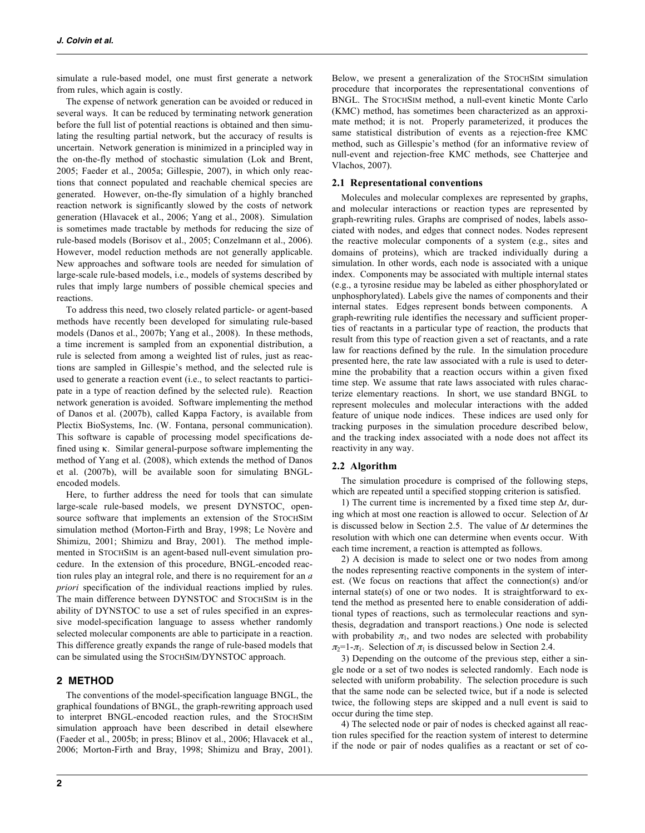simulate a rule-based model, one must first generate a network from rules, which again is costly.

 The expense of network generation can be avoided or reduced in several ways. It can be reduced by terminating network generation before the full list of potential reactions is obtained and then simulating the resulting partial network, but the accuracy of results is uncertain. Network generation is minimized in a principled way in the on-the-fly method of stochastic simulation (Lok and Brent, 2005; Faeder et al., 2005a; Gillespie, 2007), in which only reactions that connect populated and reachable chemical species are generated. However, on-the-fly simulation of a highly branched reaction network is significantly slowed by the costs of network generation (Hlavacek et al., 2006; Yang et al., 2008). Simulation is sometimes made tractable by methods for reducing the size of rule-based models (Borisov et al., 2005; Conzelmann et al., 2006). However, model reduction methods are not generally applicable. New approaches and software tools are needed for simulation of large-scale rule-based models, i.e., models of systems described by rules that imply large numbers of possible chemical species and reactions.

 To address this need, two closely related particle- or agent-based methods have recently been developed for simulating rule-based models (Danos et al., 2007b; Yang et al., 2008). In these methods, a time increment is sampled from an exponential distribution, a rule is selected from among a weighted list of rules, just as reactions are sampled in Gillespie's method, and the selected rule is used to generate a reaction event (i.e., to select reactants to participate in a type of reaction defined by the selected rule). Reaction network generation is avoided. Software implementing the method of Danos et al. (2007b), called Kappa Factory, is available from Plectix BioSystems, Inc. (W. Fontana, personal communication). This software is capable of processing model specifications defined using  $\kappa$ . Similar general-purpose software implementing the method of Yang et al. (2008), which extends the method of Danos et al. (2007b), will be available soon for simulating BNGLencoded models.

 Here, to further address the need for tools that can simulate large-scale rule-based models, we present DYNSTOC, opensource software that implements an extension of the STOCHSIM simulation method (Morton-Firth and Bray, 1998; Le Novère and Shimizu, 2001; Shimizu and Bray, 2001). The method implemented in STOCHSIM is an agent-based null-event simulation procedure. In the extension of this procedure, BNGL-encoded reaction rules play an integral role, and there is no requirement for an *a priori* specification of the individual reactions implied by rules. The main difference between DYNSTOC and STOCHSIM is in the ability of DYNSTOC to use a set of rules specified in an expressive model-specification language to assess whether randomly selected molecular components are able to participate in a reaction. This difference greatly expands the range of rule-based models that can be simulated using the STOCHSIM/DYNSTOC approach.

## **2 METHOD**

 The conventions of the model-specification language BNGL, the graphical foundations of BNGL, the graph-rewriting approach used to interpret BNGL-encoded reaction rules, and the STOCHSIM simulation approach have been described in detail elsewhere (Faeder et al., 2005b; in press; Blinov et al., 2006; Hlavacek et al., 2006; Morton-Firth and Bray, 1998; Shimizu and Bray, 2001). Below, we present a generalization of the STOCHSIM simulation procedure that incorporates the representational conventions of BNGL. The STOCHSIM method, a null-event kinetic Monte Carlo (KMC) method, has sometimes been characterized as an approximate method; it is not. Properly parameterized, it produces the same statistical distribution of events as a rejection-free KMC method, such as Gillespie's method (for an informative review of null-event and rejection-free KMC methods, see Chatterjee and Vlachos, 2007).

#### **2.1 Representational conventions**

 Molecules and molecular complexes are represented by graphs, and molecular interactions or reaction types are represented by graph-rewriting rules. Graphs are comprised of nodes, labels associated with nodes, and edges that connect nodes. Nodes represent the reactive molecular components of a system (e.g., sites and domains of proteins), which are tracked individually during a simulation. In other words, each node is associated with a unique index. Components may be associated with multiple internal states (e.g., a tyrosine residue may be labeled as either phosphorylated or unphosphorylated). Labels give the names of components and their internal states. Edges represent bonds between components. A graph-rewriting rule identifies the necessary and sufficient properties of reactants in a particular type of reaction, the products that result from this type of reaction given a set of reactants, and a rate law for reactions defined by the rule. In the simulation procedure presented here, the rate law associated with a rule is used to determine the probability that a reaction occurs within a given fixed time step. We assume that rate laws associated with rules characterize elementary reactions. In short, we use standard BNGL to represent molecules and molecular interactions with the added feature of unique node indices. These indices are used only for tracking purposes in the simulation procedure described below, and the tracking index associated with a node does not affect its reactivity in any way.

#### **2.2 Algorithm**

 The simulation procedure is comprised of the following steps, which are repeated until a specified stopping criterion is satisfied.

1) The current time is incremented by a fixed time step  $\Delta t$ , during which at most one reaction is allowed to occur. Selection of  $\Delta t$ is discussed below in Section 2.5. The value of  $\Delta t$  determines the resolution with which one can determine when events occur. With each time increment, a reaction is attempted as follows.

 2) A decision is made to select one or two nodes from among the nodes representing reactive components in the system of interest. (We focus on reactions that affect the connection(s) and/or internal state(s) of one or two nodes. It is straightforward to extend the method as presented here to enable consideration of additional types of reactions, such as termolecular reactions and synthesis, degradation and transport reactions.) One node is selected with probability  $\pi_1$ , and two nodes are selected with probability  $\pi_2=1-\pi_1$ . Selection of  $\pi_1$  is discussed below in Section 2.4.

 3) Depending on the outcome of the previous step, either a single node or a set of two nodes is selected randomly. Each node is selected with uniform probability. The selection procedure is such that the same node can be selected twice, but if a node is selected twice, the following steps are skipped and a null event is said to occur during the time step.

 4) The selected node or pair of nodes is checked against all reaction rules specified for the reaction system of interest to determine if the node or pair of nodes qualifies as a reactant or set of co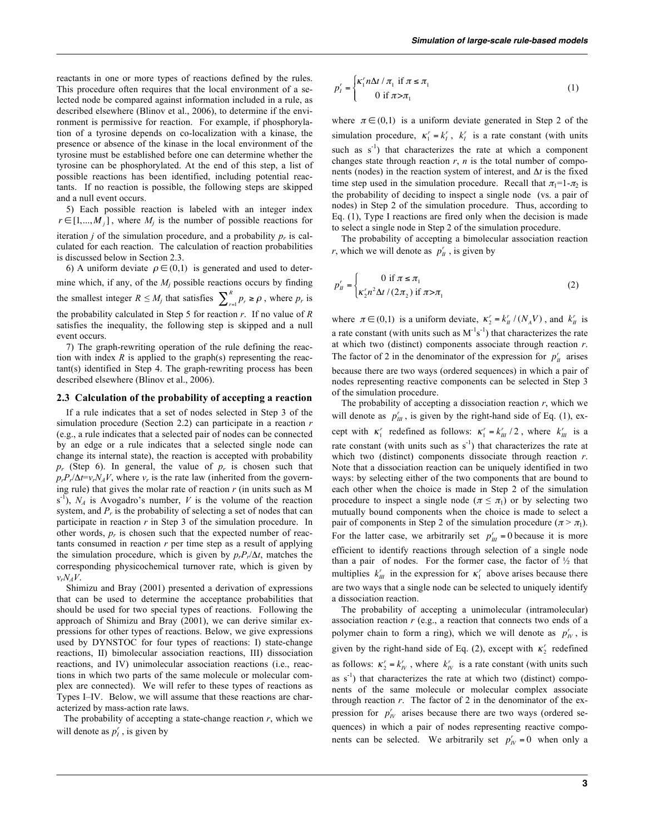reactants in one or more types of reactions defined by the rules. This procedure often requires that the local environment of a selected node be compared against information included in a rule, as described elsewhere (Blinov et al., 2006), to determine if the environment is permissive for reaction. For example, if phosphorylation of a tyrosine depends on co-localization with a kinase, the presence or absence of the kinase in the local environment of the tyrosine must be established before one can determine whether the tyrosine can be phosphorylated. At the end of this step, a list of possible reactions has been identified, including potential reactants. If no reaction is possible, the following steps are skipped and a null event occurs.

 5) Each possible reaction is labeled with an integer index  $r \in [1,..., M]$ , where  $M_i$  is the number of possible reactions for iteration *j* of the simulation procedure, and a probability  $p_r$  is calculated for each reaction. The calculation of reaction probabilities is discussed below in Section 2.3.

6) A uniform deviate  $\rho \in (0,1)$  is generated and used to determine which, if any, of the  $M_j$  possible reactions occurs by finding the smallest integer  $R \leq M_j$  that satisfies  $\sum_{r=1}^{R} p_r \geq \rho$ , where  $p_r$  is the probability calculated in Step 5 for reaction *r*. If no value of *R* satisfies the inequality, the following step is skipped and a null event occurs.

 7) The graph-rewriting operation of the rule defining the reaction with index  $R$  is applied to the graph(s) representing the reactant(s) identified in Step 4. The graph-rewriting process has been described elsewhere (Blinov et al., 2006).

# **2.3 Calculation of the probability of accepting a reaction**

 If a rule indicates that a set of nodes selected in Step 3 of the simulation procedure (Section 2.2) can participate in a reaction *r* (e.g., a rule indicates that a selected pair of nodes can be connected by an edge or a rule indicates that a selected single node can change its internal state), the reaction is accepted with probability  $p_r$  (Step 6). In general, the value of  $p_r$  is chosen such that  $p_r P_r / \Delta t = v_r N_A V$ , where  $v_r$  is the rate law (inherited from the governing rule) that gives the molar rate of reaction *r* (in units such as M  $s^{-1}$ ,  $N_A$  is Avogadro's number, *V* is the volume of the reaction system, and  $P_r$  is the probability of selecting a set of nodes that can participate in reaction *r* in Step 3 of the simulation procedure. In other words,  $p_r$  is chosen such that the expected number of reactants consumed in reaction *r* per time step as a result of applying the simulation procedure, which is given by  $p_rP_r/\Delta t$ , matches the corresponding physicochemical turnover rate, which is given by  $v_rN_AV$ .

 Shimizu and Bray (2001) presented a derivation of expressions that can be used to determine the acceptance probabilities that should be used for two special types of reactions. Following the approach of Shimizu and Bray (2001), we can derive similar expressions for other types of reactions. Below, we give expressions used by DYNSTOC for four types of reactions: I) state-change reactions, II) bimolecular association reactions, III) dissociation reactions, and IV) unimolecular association reactions (i.e., reactions in which two parts of the same molecule or molecular complex are connected). We will refer to these types of reactions as Types I–IV. Below, we will assume that these reactions are characterized by mass-action rate laws.

 The probability of accepting a state-change reaction *r*, which we will denote as  $p_I^r$ , is given by

$$
p'_{I} = \begin{cases} \kappa'_{1} n \Delta t / \pi_{1} & \text{if } \pi \leq \pi_{1} \\ 0 & \text{if } \pi > \pi_{1} \end{cases}
$$
 (1)

where  $\pi \in (0,1)$  is a uniform deviate generated in Step 2 of the simulation procedure,  $\kappa_1^r = k_1^r$ ,  $k_1^r$  is a rate constant (with units such as  $s^{-1}$ ) that characterizes the rate at which a component changes state through reaction  $r$ ,  $n$  is the total number of components (nodes) in the reaction system of interest, and  $\Delta t$  is the fixed time step used in the simulation procedure. Recall that  $\pi_1=1-\pi_2$  is the probability of deciding to inspect a single node (vs. a pair of nodes) in Step 2 of the simulation procedure. Thus, according to Eq. (1), Type I reactions are fired only when the decision is made to select a single node in Step 2 of the simulation procedure.

 The probability of accepting a bimolecular association reaction *r*, which we will denote as  $p_I^r$ , is given by

$$
p'_{II} = \begin{cases} 0 & \text{if } \pi \le \pi_1 \\ \kappa_2' n^2 \Delta t / (2\pi_2) & \text{if } \pi > \pi_1 \end{cases}
$$
 (2)

where  $\pi \in (0,1)$  is a uniform deviate,  $\kappa_2^r = k_{II}^r / (N_A V)$ , and  $k_{II}^r$  is a rate constant (with units such as  $M<sup>-1</sup>s<sup>-1</sup>$ ) that characterizes the rate at which two (distinct) components associate through reaction *r*. The factor of 2 in the denominator of the expression for  $p'_\nI$  arises because there are two ways (ordered sequences) in which a pair of nodes representing reactive components can be selected in Step 3 of the simulation procedure.

 The probability of accepting a dissociation reaction *r*, which we will denote as  $p_{\scriptscriptstyle III}^r$ , is given by the right-hand side of Eq. (1), except with  $\kappa_1^r$  redefined as follows:  $\kappa_1^r = k_{III}^r / 2$ , where  $k_{III}^r$  is a rate constant (with units such as  $s^{-1}$ ) that characterizes the rate at which two (distinct) components dissociate through reaction *r*. Note that a dissociation reaction can be uniquely identified in two ways: by selecting either of the two components that are bound to each other when the choice is made in Step 2 of the simulation procedure to inspect a single node ( $\pi \leq \pi$ <sub>1</sub>) or by selecting two mutually bound components when the choice is made to select a pair of components in Step 2 of the simulation procedure  $(\pi > \pi_1)$ . For the latter case, we arbitrarily set  $p'_m = 0$  because it is more efficient to identify reactions through selection of a single node than a pair of nodes. For the former case, the factor of  $\frac{1}{2}$  that multiplies  $k_{III}^r$  in the expression for  $\kappa_1^r$  above arises because there are two ways that a single node can be selected to uniquely identify a dissociation reaction.

 The probability of accepting a unimolecular (intramolecular) association reaction *r* (e.g., a reaction that connects two ends of a polymer chain to form a ring), which we will denote as  $p'_{I}$ , is given by the right-hand side of Eq. (2), except with  $\kappa_2^r$  redefined as follows:  $\kappa_2^r = k_N^r$ , where  $k_N^r$  is a rate constant (with units such as  $s^{-1}$ ) that characterizes the rate at which two (distinct) components of the same molecule or molecular complex associate through reaction *r*. The factor of 2 in the denominator of the expression for  $p_N^r$  arises because there are two ways (ordered sequences) in which a pair of nodes representing reactive components can be selected. We arbitrarily set  $p_N^r = 0$  when only a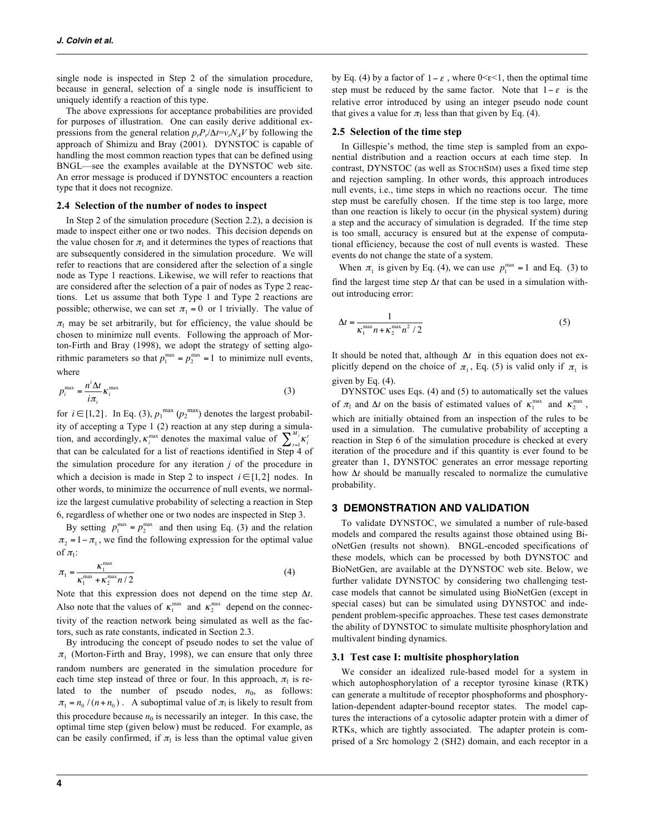single node is inspected in Step 2 of the simulation procedure, because in general, selection of a single node is insufficient to uniquely identify a reaction of this type.

 The above expressions for acceptance probabilities are provided for purposes of illustration. One can easily derive additional expressions from the general relation  $p_rP_r/\Delta t = v_rN_A V$  by following the approach of Shimizu and Bray (2001). DYNSTOC is capable of handling the most common reaction types that can be defined using BNGL—see the examples available at the DYNSTOC web site. An error message is produced if DYNSTOC encounters a reaction type that it does not recognize.

#### **2.4 Selection of the number of nodes to inspect**

 In Step 2 of the simulation procedure (Section 2.2), a decision is made to inspect either one or two nodes. This decision depends on the value chosen for  $\pi_1$  and it determines the types of reactions that are subsequently considered in the simulation procedure. We will refer to reactions that are considered after the selection of a single node as Type 1 reactions. Likewise, we will refer to reactions that are considered after the selection of a pair of nodes as Type 2 reactions. Let us assume that both Type 1 and Type 2 reactions are possible; otherwise, we can set  $\pi_1 = 0$  or 1 trivially. The value of  $\pi_1$  may be set arbitrarily, but for efficiency, the value should be chosen to minimize null events. Following the approach of Morton-Firth and Bray (1998), we adopt the strategy of setting algorithmic parameters so that  $p_1^{\max} = p_2^{\max} = 1$  to minimize null events, where

$$
p_i^{\max} = \frac{n^i \Delta t}{i \pi_i} \kappa_i^{\max} \tag{3}
$$

for  $i \in [1,2]$ . In Eq. (3),  $p_1^{\max}(p_2^{\max})$  denotes the largest probability of accepting a Type 1 (2) reaction at any step during a simulation, and accordingly,  $\kappa_i^{\text{max}}$  denotes the maximal value of  $\sum_{i=1}^{m_j} \kappa_i^r$ *r*=1  $\sum\nolimits_{r=1}^{M_{j}}$ that can be calculated for a list of reactions identified in Step 4 of the simulation procedure for any iteration *j* of the procedure in which a decision is made in Step 2 to inspect  $i \in [1,2]$  nodes. In other words, to minimize the occurrence of null events, we normalize the largest cumulative probability of selecting a reaction in Step 6, regardless of whether one or two nodes are inspected in Step 3.

By setting  $p_1^{\text{max}} = p_2^{\text{max}}$  and then using Eq. (3) and the relation  $\pi_2 = 1 - \pi_1$ , we find the following expression for the optimal value of  $\pi_1$ :

$$
\pi_1 = \frac{\kappa_1^{\max}}{\kappa_1^{\max} + \kappa_2^{\max} n/2}
$$
 (4)

Note that this expression does not depend on the time step  $\Delta t$ . Also note that the values of  $\kappa_1^{\max}$  and  $\kappa_2^{\max}$  depend on the connectivity of the reaction network being simulated as well as the factors, such as rate constants, indicated in Section 2.3.

 By introducing the concept of pseudo nodes to set the value of  $\pi$ <sub>1</sub> (Morton-Firth and Bray, 1998), we can ensure that only three random numbers are generated in the simulation procedure for each time step instead of three or four. In this approach,  $\pi_1$  is related to the number of pseudo nodes,  $n_0$ , as follows:  $\pi_1 = n_0 / (n + n_0)$ . A suboptimal value of  $\pi_1$  is likely to result from this procedure because  $n_0$  is necessarily an integer. In this case, the optimal time step (given below) must be reduced. For example, as can be easily confirmed, if  $\pi_1$  is less than the optimal value given by Eq. (4) by a factor of  $1 - \varepsilon$ , where  $0 \le \varepsilon \le 1$ , then the optimal time step must be reduced by the same factor. Note that  $1 - \varepsilon$  is the relative error introduced by using an integer pseudo node count that gives a value for  $\pi_1$  less than that given by Eq. (4).

# **2.5 Selection of the time step**

 In Gillespie's method, the time step is sampled from an exponential distribution and a reaction occurs at each time step. In contrast, DYNSTOC (as well as STOCHSIM) uses a fixed time step and rejection sampling. In other words, this approach introduces null events, i.e., time steps in which no reactions occur. The time step must be carefully chosen. If the time step is too large, more than one reaction is likely to occur (in the physical system) during a step and the accuracy of simulation is degraded. If the time step is too small, accuracy is ensured but at the expense of computational efficiency, because the cost of null events is wasted. These events do not change the state of a system.

When  $\pi_1$  is given by Eq. (4), we can use  $p_1^{\max} = 1$  and Eq. (3) to find the largest time step  $\Delta t$  that can be used in a simulation without introducing error:

$$
\Delta t = \frac{1}{\kappa_1^{\max} n + \kappa_2^{\max} n^2 / 2}
$$
 (5)

It should be noted that, although  $\Delta t$  in this equation does not explicitly depend on the choice of  $\pi_1$ , Eq. (5) is valid only if  $\pi_1$  is given by Eq. (4).

 DYNSTOC uses Eqs. (4) and (5) to automatically set the values of  $\pi_1$  and  $\Delta t$  on the basis of estimated values of  $\kappa_1^{\max}$  and  $\kappa_2^{\max}$ , which are initially obtained from an inspection of the rules to be used in a simulation. The cumulative probability of accepting a reaction in Step 6 of the simulation procedure is checked at every iteration of the procedure and if this quantity is ever found to be greater than 1, DYNSTOC generates an error message reporting how  $\Delta t$  should be manually rescaled to normalize the cumulative probability.

# **3 DEMONSTRATION AND VALIDATION**

 To validate DYNSTOC, we simulated a number of rule-based models and compared the results against those obtained using BioNetGen (results not shown). BNGL-encoded specifications of these models, which can be processed by both DYNSTOC and BioNetGen, are available at the DYNSTOC web site. Below, we further validate DYNSTOC by considering two challenging testcase models that cannot be simulated using BioNetGen (except in special cases) but can be simulated using DYNSTOC and independent problem-specific approaches. These test cases demonstrate the ability of DYNSTOC to simulate multisite phosphorylation and multivalent binding dynamics.

#### **3.1 Test case I: multisite phosphorylation**

 We consider an idealized rule-based model for a system in which autophosphorylation of a receptor tyrosine kinase (RTK) can generate a multitude of receptor phosphoforms and phosphorylation-dependent adapter-bound receptor states. The model captures the interactions of a cytosolic adapter protein with a dimer of RTKs, which are tightly associated. The adapter protein is comprised of a Src homology 2 (SH2) domain, and each receptor in a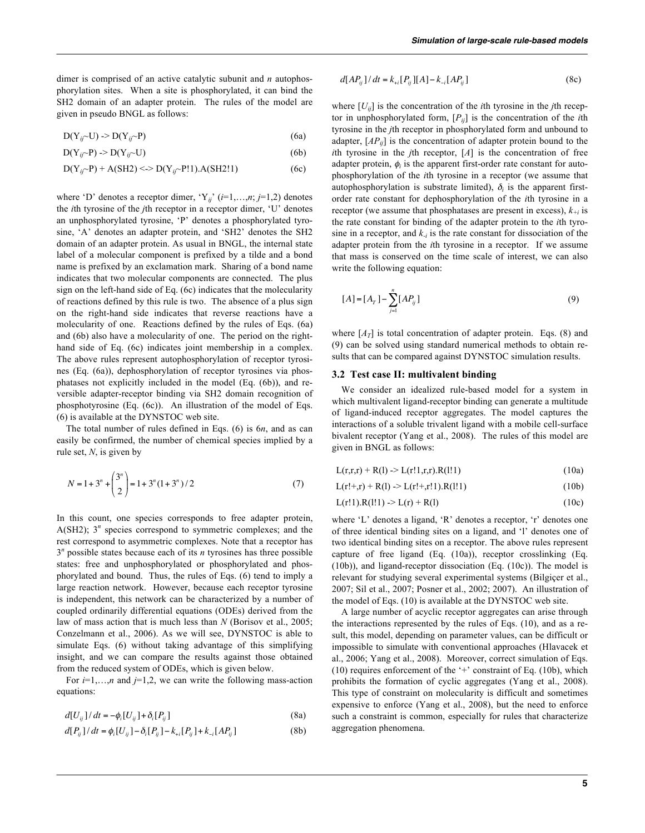dimer is comprised of an active catalytic subunit and *n* autophosphorylation sites. When a site is phosphorylated, it can bind the SH2 domain of an adapter protein. The rules of the model are given in pseudo BNGL as follows:

 $D(Y_{ii}U) > D(Y_{ii}P)$  (6a)

$$
D(Y_{ij} \sim P) \sim D(Y_{ij} \sim U) \tag{6b}
$$

$$
D(Y_{ij} \sim P) + A(SH2) \ll D(Y_{ij} \sim P!1).A(SH2!1)
$$
 (6c)

where 'D' denotes a receptor dimer, 'Y<sub>ij</sub>' ( $i=1,...,n$ ;  $j=1,2$ ) denotes the *i*th tyrosine of the *j*th receptor in a receptor dimer, 'U' denotes an unphosphorylated tyrosine, 'P' denotes a phosphorylated tyrosine, 'A' denotes an adapter protein, and 'SH2' denotes the SH2 domain of an adapter protein. As usual in BNGL, the internal state label of a molecular component is prefixed by a tilde and a bond name is prefixed by an exclamation mark. Sharing of a bond name indicates that two molecular components are connected. The plus sign on the left-hand side of Eq. (6c) indicates that the molecularity of reactions defined by this rule is two. The absence of a plus sign on the right-hand side indicates that reverse reactions have a molecularity of one. Reactions defined by the rules of Eqs. (6a) and (6b) also have a molecularity of one. The period on the righthand side of Eq. (6c) indicates joint membership in a complex. The above rules represent autophosphorylation of receptor tyrosines (Eq. (6a)), dephosphorylation of receptor tyrosines via phosphatases not explicitly included in the model (Eq. (6b)), and reversible adapter-receptor binding via SH2 domain recognition of phosphotyrosine (Eq. (6c)). An illustration of the model of Eqs. (6) is available at the DYNSTOC web site.

 The total number of rules defined in Eqs. (6) is 6*n*, and as can easily be confirmed, the number of chemical species implied by a rule set, *N*, is given by

$$
N = 1 + 3^{n} + {3^{n} \choose 2} = 1 + 3^{n} (1 + 3^{n}) / 2
$$
 (7)

In this count, one species corresponds to free adapter protein, A(SH2);  $3<sup>n</sup>$  species correspond to symmetric complexes; and the rest correspond to asymmetric complexes. Note that a receptor has 3*n* possible states because each of its *n* tyrosines has three possible states: free and unphosphorylated or phosphorylated and phosphorylated and bound. Thus, the rules of Eqs. (6) tend to imply a large reaction network. However, because each receptor tyrosine is independent, this network can be characterized by a number of coupled ordinarily differential equations (ODEs) derived from the law of mass action that is much less than *N* (Borisov et al., 2005; Conzelmann et al., 2006). As we will see, DYNSTOC is able to simulate Eqs. (6) without taking advantage of this simplifying insight, and we can compare the results against those obtained from the reduced system of ODEs, which is given below.

For  $i=1,...,n$  and  $j=1,2$ , we can write the following mass-action equations:

$$
d[U_{ij}]/dt = -\phi_i[U_{ij}]+\delta_i[P_{ij}]
$$
\n(8a)

$$
d[P_{ij}]/dt = \phi_i[U_{ij}] - \delta_i[P_{ij}] - k_{+i}[P_{ij}] + k_{-i}[AP_{ij}]
$$
\n(8b)

$$
d[AP_{ij}]/dt = k_{+i}[P_{ij}][A] - k_{-i}[AP_{ij}]
$$
\n(8c)

where  $[U_{ii}]$  is the concentration of the *i*th tyrosine in the *j*th receptor in unphosphorylated form,  $[P_{ij}]$  is the concentration of the *i*th tyrosine in the *j*th receptor in phosphorylated form and unbound to adapter,  $[AP_{ii}]$  is the concentration of adapter protein bound to the *i*th tyrosine in the *j*th receptor, [*A*] is the concentration of free adapter protein,  $\phi$  is the apparent first-order rate constant for autophosphorylation of the *i*th tyrosine in a receptor (we assume that autophosphorylation is substrate limited),  $\delta_i$  is the apparent firstorder rate constant for dephosphorylation of the *i*th tyrosine in a receptor (we assume that phosphatases are present in excess), *k+i* is the rate constant for binding of the adapter protein to the *i*th tyrosine in a receptor, and  $k_i$  is the rate constant for dissociation of the adapter protein from the *i*th tyrosine in a receptor. If we assume that mass is conserved on the time scale of interest, we can also write the following equation:

$$
[A] = [A_T] - \sum_{j=1}^{n} [A P_{ij}]
$$
\n(9)

where  $[A_T]$  is total concentration of adapter protein. Eqs. (8) and (9) can be solved using standard numerical methods to obtain results that can be compared against DYNSTOC simulation results.

### **3.2 Test case II: multivalent binding**

 We consider an idealized rule-based model for a system in which multivalent ligand-receptor binding can generate a multitude of ligand-induced receptor aggregates. The model captures the interactions of a soluble trivalent ligand with a mobile cell-surface bivalent receptor (Yang et al., 2008). The rules of this model are given in BNGL as follows:

$$
L(r,r,r) + R(l) \ge L(r!1,r,r).R(l!1)
$$
\n(10a)

 $L(r!+r) + R(l) \rightarrow L(r!+r!1) \cdot R(l!1)$  (10b)

$$
L(r!1).R(l!1) \to L(r) + R(l) \tag{10c}
$$

where 'L' denotes a ligand, 'R' denotes a receptor, 'r' denotes one of three identical binding sites on a ligand, and 'l' denotes one of two identical binding sites on a receptor. The above rules represent capture of free ligand (Eq. (10a)), receptor crosslinking (Eq. (10b)), and ligand-receptor dissociation (Eq. (10c)). The model is relevant for studying several experimental systems (Bilgiçer et al., 2007; Sil et al., 2007; Posner et al., 2002; 2007). An illustration of the model of Eqs. (10) is available at the DYNSTOC web site.

 A large number of acyclic receptor aggregates can arise through the interactions represented by the rules of Eqs. (10), and as a result, this model, depending on parameter values, can be difficult or impossible to simulate with conventional approaches (Hlavacek et al., 2006; Yang et al., 2008). Moreover, correct simulation of Eqs. (10) requires enforcement of the '+' constraint of Eq. (10b), which prohibits the formation of cyclic aggregates (Yang et al., 2008). This type of constraint on molecularity is difficult and sometimes expensive to enforce (Yang et al., 2008), but the need to enforce such a constraint is common, especially for rules that characterize aggregation phenomena.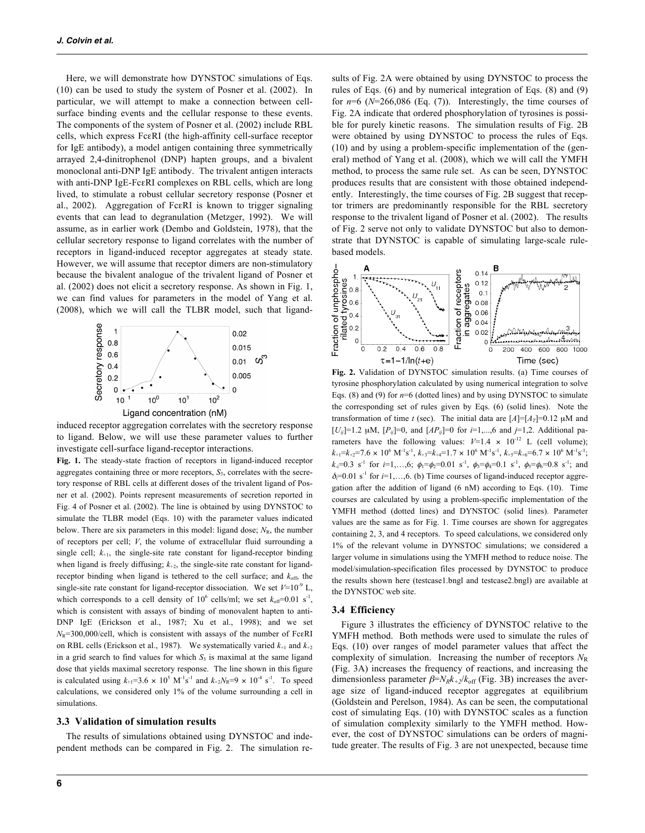Here, we will demonstrate how DYNSTOC simulations of Eqs. (10) can be used to study the system of Posner et al. (2002). In particular, we will attempt to make a connection between cellsurface binding events and the cellular response to these events. The components of the system of Posner et al. (2002) include RBL cells, which express Fc $\epsilon$ RI (the high-affinity cell-surface receptor for IgE antibody), a model antigen containing three symmetrically arrayed 2,4-dinitrophenol (DNP) hapten groups, and a bivalent monoclonal anti-DNP IgE antibody. The trivalent antigen interacts with anti-DNP IgE-Fc $\epsilon$ RI complexes on RBL cells, which are long lived, to stimulate a robust cellular secretory response (Posner et al., 2002). Aggregation of Fc $\epsilon$ RI is known to trigger signaling events that can lead to degranulation (Metzger, 1992). We will assume, as in earlier work (Dembo and Goldstein, 1978), that the cellular secretory response to ligand correlates with the number of receptors in ligand-induced receptor aggregates at steady state. However, we will assume that receptor dimers are non-stimulatory because the bivalent analogue of the trivalent ligand of Posner et al. (2002) does not elicit a secretory response. As shown in Fig. 1, we can find values for parameters in the model of Yang et al. (2008), which we will call the TLBR model, such that ligand-



induced receptor aggregation correlates with the secretory response to ligand. Below, we will use these parameter values to further investigate cell-surface ligand-receptor interactions.

**Fig. 1.** The steady-state fraction of receptors in ligand-induced receptor aggregates containing three or more receptors, *S*3, correlates with the secretory response of RBL cells at different doses of the trivalent ligand of Posner et al. (2002). Points represent measurements of secretion reported in Fig. 4 of Posner et al. (2002). The line is obtained by using DYNSTOC to simulate the TLBR model (Eqs. 10) with the parameter values indicated below. There are six parameters in this model: ligand dose;  $N<sub>R</sub>$ , the number of receptors per cell; *V*, the volume of extracellular fluid surrounding a single cell;  $k_{+1}$ , the single-site rate constant for ligand-receptor binding when ligand is freely diffusing;  $k_{+2}$ , the single-site rate constant for ligandreceptor binding when ligand is tethered to the cell surface; and  $k_{\text{off}}$ , the single-site rate constant for ligand-receptor dissociation. We set  $V=10^{-9}$  L, which corresponds to a cell density of  $10^6$  cells/ml; we set  $k_{off}=0.01 \text{ s}^{-1}$ , which is consistent with assays of binding of monovalent hapten to anti-DNP IgE (Erickson et al., 1987; Xu et al., 1998); and we set  $N_{\rm R}$ =300,000/cell, which is consistent with assays of the number of Fc $\epsilon$ RI on RBL cells (Erickson et al., 1987). We systematically varied  $k_{+1}$  and  $k_{+2}$ in a grid search to find values for which  $S_3$  is maximal at the same ligand dose that yields maximal secretory response. The line shown in this figure is calculated using  $k_{+1} = 3.6 \times 10^5 \text{ M}^{-1} \text{s}^{-1}$  and  $k_{+2}N_{\text{R}} = 9 \times 10^{-4} \text{ s}^{-1}$ . To speed calculations, we considered only 1% of the volume surrounding a cell in simulations.

## **3.3 Validation of simulation results**

 The results of simulations obtained using DYNSTOC and independent methods can be compared in Fig. 2. The simulation results of Fig. 2A were obtained by using DYNSTOC to process the rules of Eqs. (6) and by numerical integration of Eqs. (8) and (9) for *n*=6 (*N*=266,086 (Eq. (7)). Interestingly, the time courses of Fig. 2A indicate that ordered phosphorylation of tyrosines is possible for purely kinetic reasons. The simulation results of Fig. 2B were obtained by using DYNSTOC to process the rules of Eqs. (10) and by using a problem-specific implementation of the (general) method of Yang et al. (2008), which we will call the YMFH method, to process the same rule set. As can be seen, DYNSTOC produces results that are consistent with those obtained independently. Interestingly, the time courses of Fig. 2B suggest that receptor trimers are predominantly responsible for the RBL secretory response to the trivalent ligand of Posner et al. (2002). The results of Fig. 2 serve not only to validate DYNSTOC but also to demonstrate that DYNSTOC is capable of simulating large-scale rulebased models.



**Fig. 2.** Validation of DYNSTOC simulation results. (a) Time courses of tyrosine phosphorylation calculated by using numerical integration to solve Eqs. (8) and (9) for *n*=6 (dotted lines) and by using DYNSTOC to simulate the corresponding set of rules given by Eqs. (6) (solid lines). Note the transformation of time *t* (sec). The initial data are  $[A]=[A_T]=0.12 \mu M$  and  $[U_{ii}]$ =1.2  $\mu$ M,  $[P_{ii}]$ =0, and  $[AP_{ii}]$ =0 for  $i=1,...,6$  and  $j=1,2$ . Additional parameters have the following values:  $V=1.4 \times 10^{-12}$  L (cell volume);  $k_{+1} = k_{+2} = 7.6 \times 10^6 \text{ M}^{-1} \text{s}^{-1}, k_{+3} = k_{+4} = 1.7 \times 10^6 \text{ M}^{-1} \text{s}^{-1}, k_{+5} = k_{+6} = 6.7 \times 10^6 \text{ M}^{-1} \text{s}^{-1};$  $k_i$ =0.3 s<sup>-1</sup> for  $i=1,...,6$ ;  $\phi_1 = \phi_2 = 0.01$  s<sup>-1</sup>,  $\phi_3 = \phi_4 = 0.1$  s<sup>-1</sup>,  $\phi_5 = \phi_6 = 0.8$  s<sup>-1</sup>; and  $\delta_i = 0.01$  s<sup>-1</sup> for  $i = 1, \ldots, 6$ . (b) Time courses of ligand-induced receptor aggregation after the addition of ligand (6 nM) according to Eqs. (10). Time courses are calculated by using a problem-specific implementation of the YMFH method (dotted lines) and DYNSTOC (solid lines). Parameter values are the same as for Fig. 1. Time courses are shown for aggregates containing 2, 3, and 4 receptors. To speed calculations, we considered only 1% of the relevant volume in DYNSTOC simulations; we considered a larger volume in simulations using the YMFH method to reduce noise. The model/simulation-specification files processed by DYNSTOC to produce the results shown here (testcase1.bngl and testcase2.bngl) are available at the DYNSTOC web site.

#### **3.4 Efficiency**

 Figure 3 illustrates the efficiency of DYNSTOC relative to the YMFH method. Both methods were used to simulate the rules of Eqs. (10) over ranges of model parameter values that affect the complexity of simulation. Increasing the number of receptors  $N_R$ (Fig. 3A) increases the frequency of reactions, and increasing the dimensionless parameter  $\beta = N_R k_{+2}/k_{\text{off}}$  (Fig. 3B) increases the average size of ligand-induced receptor aggregates at equilibrium (Goldstein and Perelson, 1984). As can be seen, the computational cost of simulating Eqs. (10) with DYNSTOC scales as a function of simulation complexity similarly to the YMFH method. However, the cost of DYNSTOC simulations can be orders of magnitude greater. The results of Fig. 3 are not unexpected, because time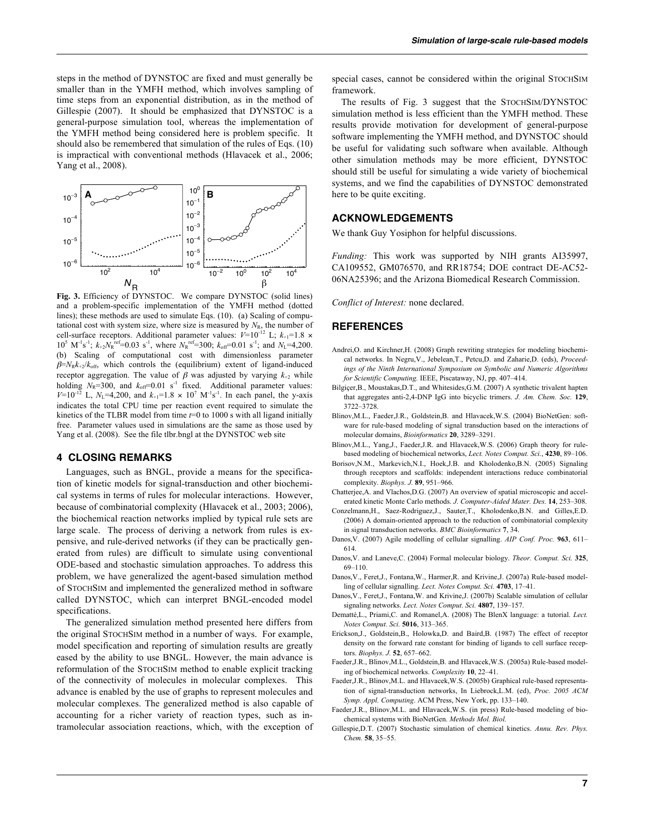steps in the method of DYNSTOC are fixed and must generally be smaller than in the YMFH method, which involves sampling of time steps from an exponential distribution, as in the method of Gillespie (2007). It should be emphasized that DYNSTOC is a general-purpose simulation tool, whereas the implementation of the YMFH method being considered here is problem specific. It should also be remembered that simulation of the rules of Eqs. (10) is impractical with conventional methods (Hlavacek et al., 2006; Yang et al., 2008).



**Fig. 3.** Efficiency of DYNSTOC. We compare DYNSTOC (solid lines) and a problem-specific implementation of the YMFH method (dotted lines); these methods are used to simulate Eqs. (10). (a) Scaling of computational cost with system size, where size is measured by  $N_{R}$ , the number of cell-surface receptors. Additional parameter values:  $V=10^{-12}$  L;  $k_{+1}=1.8$  x  $10^5$  M<sup>-1</sup>s<sup>-1</sup>;  $k_{+2}N_R$ <sup>ref</sup>=0.03 s<sup>-1</sup>, where  $N_R$ <sup>ref</sup>=300;  $k_{off}$ =0.01 s<sup>-1</sup>; and  $N_L$ =4,200. (b) Scaling of computational cost with dimensionless parameter  $\beta = N_R k_{+2}/k_{\text{off}}$ , which controls the (equilibrium) extent of ligand-induced receptor aggregation. The value of  $\beta$  was adjusted by varying  $k_{+2}$  while holding  $N_R$ =300, and  $k_{off}$ =0.01 s<sup>-1</sup> fixed. Additional parameter values:  $V=10^{-12}$  L,  $N_L=4,200$ , and  $k_{+1}=1.8 \times 10^7$  M<sup>-1</sup>s<sup>-1</sup>. In each panel, the y-axis indicates the total CPU time per reaction event required to simulate the kinetics of the TLBR model from time *t*=0 to 1000 s with all ligand initially free. Parameter values used in simulations are the same as those used by Yang et al. (2008). See the file tlbr.bngl at the DYNSTOC web site

# **4 CLOSING REMARKS**

 Languages, such as BNGL, provide a means for the specification of kinetic models for signal-transduction and other biochemical systems in terms of rules for molecular interactions. However, because of combinatorial complexity (Hlavacek et al., 2003; 2006), the biochemical reaction networks implied by typical rule sets are large scale. The process of deriving a network from rules is expensive, and rule-derived networks (if they can be practically generated from rules) are difficult to simulate using conventional ODE-based and stochastic simulation approaches. To address this problem, we have generalized the agent-based simulation method of STOCHSIM and implemented the generalized method in software called DYNSTOC, which can interpret BNGL-encoded model specifications.

 The generalized simulation method presented here differs from the original STOCHSIM method in a number of ways. For example, model specification and reporting of simulation results are greatly eased by the ability to use BNGL. However, the main advance is reformulation of the STOCHSIM method to enable explicit tracking of the connectivity of molecules in molecular complexes. This advance is enabled by the use of graphs to represent molecules and molecular complexes. The generalized method is also capable of accounting for a richer variety of reaction types, such as intramolecular association reactions, which, with the exception of special cases, cannot be considered within the original STOCHSIM framework.

 The results of Fig. 3 suggest that the STOCHSIM/DYNSTOC simulation method is less efficient than the YMFH method. These results provide motivation for development of general-purpose software implementing the YMFH method, and DYNSTOC should be useful for validating such software when available. Although other simulation methods may be more efficient, DYNSTOC should still be useful for simulating a wide variety of biochemical systems, and we find the capabilities of DYNSTOC demonstrated here to be quite exciting.

# **ACKNOWLEDGEMENTS**

We thank Guy Yosiphon for helpful discussions.

*Funding:* This work was supported by NIH grants AI35997, CA109552, GM076570, and RR18754; DOE contract DE-AC52- 06NA25396; and the Arizona Biomedical Research Commission.

*Conflict of Interest:* none declared.

## **REFERENCES**

- Andrei,O. and Kirchner,H. (2008) Graph rewriting strategies for modeling biochemical networks. In Negru,V., Jebelean,T., Petcu,D. and Zaharie,D. (eds), *Proceedings of the Ninth International Symposium on Symbolic and Numeric Algorithms for Scientific Computing.* IEEE, Piscataway, NJ, pp. 407–414.
- Bilgiçer,B., Moustakas,D.T., and Whitesides,G.M. (2007) A synthetic trivalent hapten that aggregates anti-2,4-DNP IgG into bicyclic trimers. *J. Am. Chem. Soc.* **129**, 3722–3728.
- Blinov,M.L., Faeder,J.R., Goldstein,B. and Hlavacek,W.S. (2004) BioNetGen: software for rule-based modeling of signal transduction based on the interactions of molecular domains, *Bioinformatics* **20**, 3289–3291.
- Blinov,M.L., Yang,J., Faeder,J.R. and Hlavacek,W.S. (2006) Graph theory for rulebased modeling of biochemical networks, *Lect. Notes Comput. Sci.*, **4230**, 89–106.
- Borisov,N.M., Markevich,N.I., Hoek,J.B. and Kholodenko,B.N. (2005) Signaling through receptors and scaffolds: independent interactions reduce combinatorial complexity. *Biophys. J.* **89**, 951–966.
- Chatterjee,A. and Vlachos,D.G. (2007) An overview of spatial microscopic and accelerated kinetic Monte Carlo methods. *J. Computer-Aided Mater. Des.* **14**, 253–308.
- Conzelmann,H., Saez-Rodriguez,J., Sauter,T., Kholodenko,B.N. and Gilles,E.D. (2006) A domain-oriented approach to the reduction of combinatorial complexity in signal transduction networks. *BMC Bioinformatics* **7**, 34.
- Danos,V. (2007) Agile modelling of cellular signalling. *AIP Conf. Proc.* **963**, 611– 614.
- Danos,V. and Laneve,C. (2004) Formal molecular biology. *Theor. Comput. Sci.* **325**, 69–110.
- Danos,V., Feret,J., Fontana,W., Harmer,R. and Krivine,J. (2007a) Rule-based modelling of cellular signalling. *Lect. Notes Comput. Sci.* **4703**, 17–41.
- Danos,V., Feret,J., Fontana,W. and Krivine,J. (2007b) Scalable simulation of cellular signaling networks. *Lect. Notes Comput. Sci.* **4807**, 139–157.
- Dematté,L., Priami,C. and Romanel,A. (2008) The BlenX language: a tutorial. *Lect. Notes Comput. Sci.* **5016**, 313–365.
- Erickson,J., Goldstein,B., Holowka,D. and Baird,B. (1987) The effect of receptor density on the forward rate constant for binding of ligands to cell surface receptors. *Biophys. J.* **52**, 657–662.
- Faeder,J.R., Blinov,M.L., Goldstein,B. and Hlavacek,W.S. (2005a) Rule-based modeling of biochemical networks. *Complexity* **10**, 22–41.
- Faeder,J.R., Blinov,M.L. and Hlavacek,W.S. (2005b) Graphical rule-based representation of signal-transduction networks, In Liebrock,L.M. (ed), *Proc. 2005 ACM Symp. Appl. Computing*. ACM Press, New York, pp. 133–140.
- Faeder,J.R., Blinov,M.L. and Hlavacek,W.S. (in press) Rule-based modeling of biochemical systems with BioNetGen. *Methods Mol. Biol.*
- Gillespie,D.T. (2007) Stochastic simulation of chemical kinetics. *Annu. Rev. Phys. Chem.* **58**, 35–55.